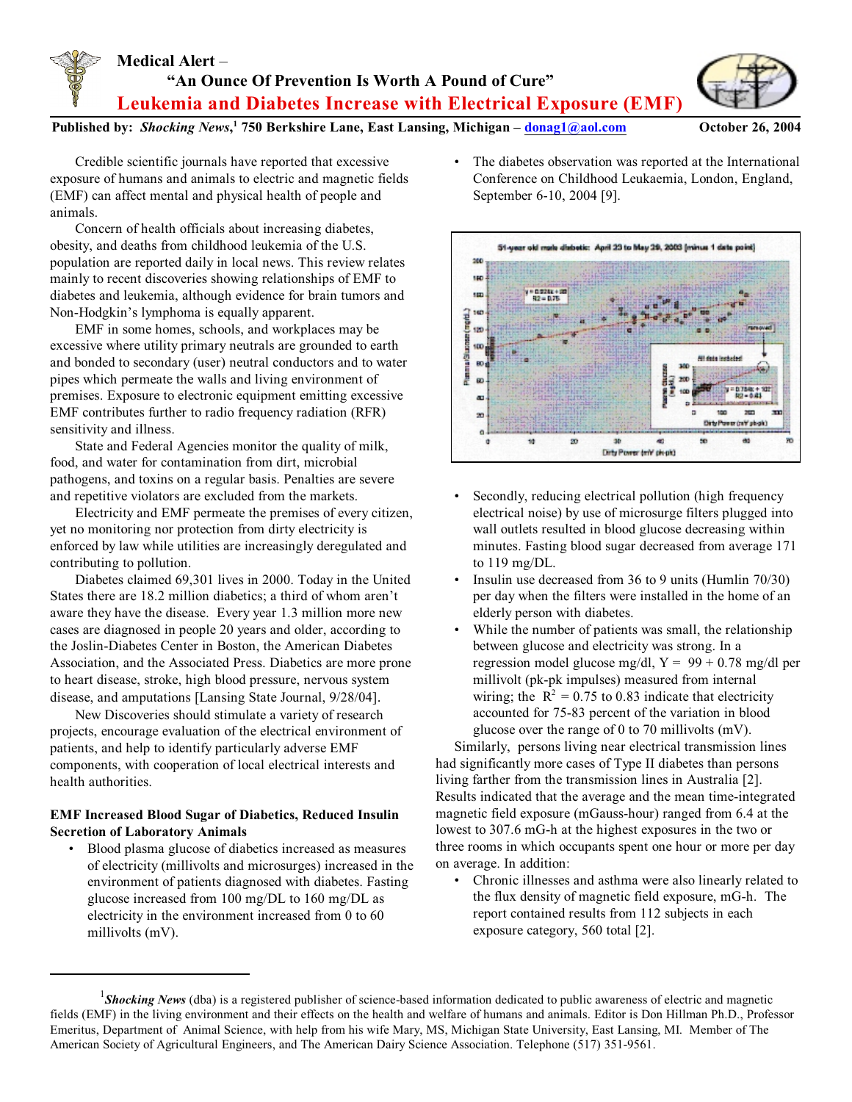## **Medical Alert** – **"An Ounce Of Prevention Is Worth A Pound of Cure" Leukemia and Diabetes Increase with Electrical Exposure (EMF)**



**Published by:** *Shocking News***, 750 Berkshire Lane, East Lansing, Michigan – <sup>1</sup> [donag1@aol.com](mailto:donag1@aol.com) October 26, 2004**

Credible scientific journals have reported that excessive exposure of humans and animals to electric and magnetic fields (EMF) can affect mental and physical health of people and animals.

Concern of health officials about increasing diabetes, obesity, and deaths from childhood leukemia of the U.S. population are reported daily in local news. This review relates mainly to recent discoveries showing relationships of EMF to diabetes and leukemia, although evidence for brain tumors and Non-Hodgkin's lymphoma is equally apparent.

EMF in some homes, schools, and workplaces may be excessive where utility primary neutrals are grounded to earth and bonded to secondary (user) neutral conductors and to water pipes which permeate the walls and living environment of premises. Exposure to electronic equipment emitting excessive EMF contributes further to radio frequency radiation (RFR) sensitivity and illness.

State and Federal Agencies monitor the quality of milk, food, and water for contamination from dirt, microbial pathogens, and toxins on a regular basis. Penalties are severe and repetitive violators are excluded from the markets.

Electricity and EMF permeate the premises of every citizen, yet no monitoring nor protection from dirty electricity is enforced by law while utilities are increasingly deregulated and contributing to pollution.

Diabetes claimed 69,301 lives in 2000. Today in the United States there are 18.2 million diabetics; a third of whom aren't aware they have the disease. Every year 1.3 million more new cases are diagnosed in people 20 years and older, according to the Joslin-Diabetes Center in Boston, the American Diabetes Association, and the Associated Press. Diabetics are more prone to heart disease, stroke, high blood pressure, nervous system disease, and amputations [Lansing State Journal, 9/28/04].

New Discoveries should stimulate a variety of research projects, encourage evaluation of the electrical environment of patients, and help to identify particularly adverse EMF components, with cooperation of local electrical interests and health authorities.

## **EMF Increased Blood Sugar of Diabetics, Reduced Insulin Secretion of Laboratory Animals**

• Blood plasma glucose of diabetics increased as measures of electricity (millivolts and microsurges) increased in the environment of patients diagnosed with diabetes. Fasting glucose increased from 100 mg/DL to 160 mg/DL as electricity in the environment increased from 0 to 60 millivolts (mV).

The diabetes observation was reported at the International Conference on Childhood Leukaemia, London, England, September 6-10, 2004 [9].



- Secondly, reducing electrical pollution (high frequency electrical noise) by use of microsurge filters plugged into wall outlets resulted in blood glucose decreasing within minutes. Fasting blood sugar decreased from average 171 to 119 mg/DL.
- Insulin use decreased from 36 to 9 units (Humlin 70/30) per day when the filters were installed in the home of an elderly person with diabetes.
- While the number of patients was small, the relationship between glucose and electricity was strong. In a regression model glucose mg/dl,  $Y = 99 + 0.78$  mg/dl per millivolt (pk-pk impulses) measured from internal wiring; the  $R^2 = 0.75$  to 0.83 indicate that electricity accounted for 75-83 percent of the variation in blood glucose over the range of 0 to 70 millivolts (mV).

Similarly, persons living near electrical transmission lines had significantly more cases of Type II diabetes than persons living farther from the transmission lines in Australia [2]. Results indicated that the average and the mean time-integrated magnetic field exposure (mGauss-hour) ranged from 6.4 at the lowest to 307.6 mG-h at the highest exposures in the two or three rooms in which occupants spent one hour or more per day on average. In addition:

• Chronic illnesses and asthma were also linearly related to the flux density of magnetic field exposure, mG-h. The report contained results from 112 subjects in each exposure category, 560 total [2].

*Shocking News* (dba) is a registered publisher of science-based information dedicated to public awareness of electric and magnetic <sup>1</sup> fields (EMF) in the living environment and their effects on the health and welfare of humans and animals. Editor is Don Hillman Ph.D., Professor Emeritus, Department of Animal Science, with help from his wife Mary, MS, Michigan State University, East Lansing, MI. Member of The American Society of Agricultural Engineers, and The American Dairy Science Association. Telephone (517) 351-9561.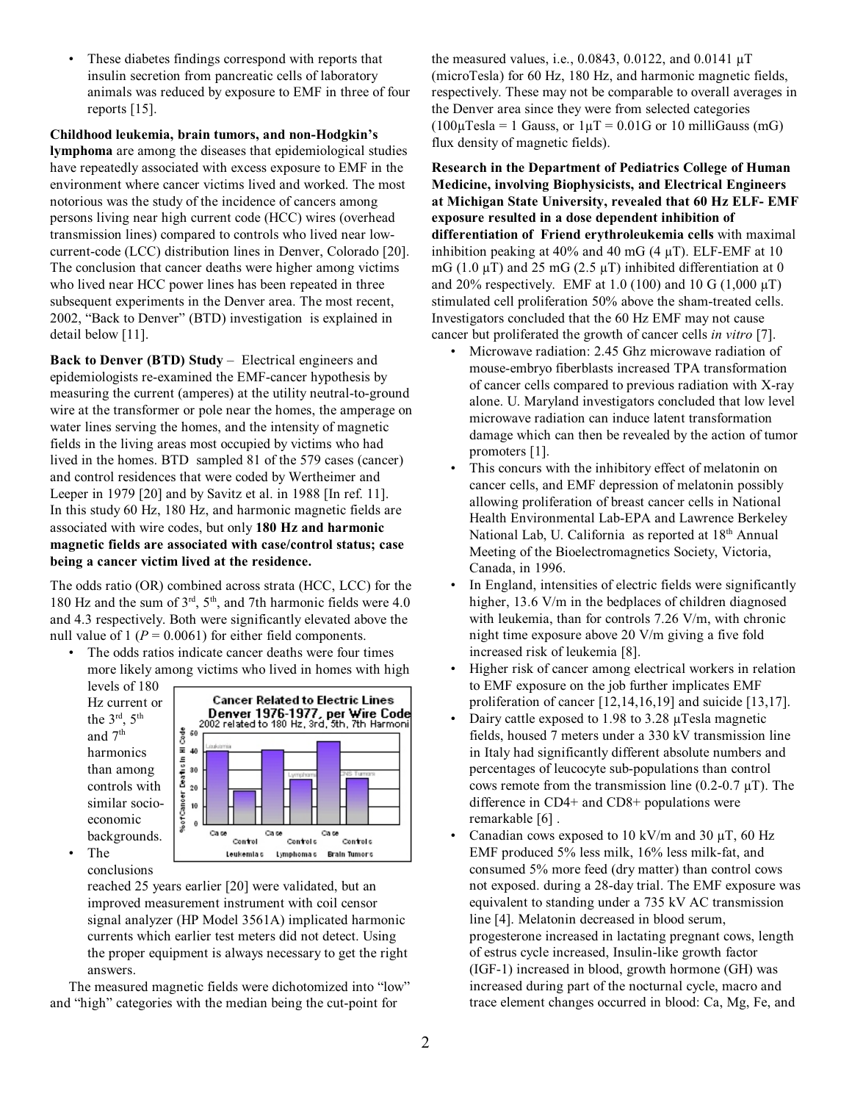These diabetes findings correspond with reports that insulin secretion from pancreatic cells of laboratory animals was reduced by exposure to EMF in three of four reports [15].

**Childhood leukemia, brain tumors, and non-Hodgkin's lymphoma** are among the diseases that epidemiological studies have repeatedly associated with excess exposure to EMF in the environment where cancer victims lived and worked. The most notorious was the study of the incidence of cancers among persons living near high current code (HCC) wires (overhead transmission lines) compared to controls who lived near lowcurrent-code (LCC) distribution lines in Denver, Colorado [20]. The conclusion that cancer deaths were higher among victims who lived near HCC power lines has been repeated in three subsequent experiments in the Denver area. The most recent, 2002, "Back to Denver" (BTD) investigation is explained in detail below [11].

**Back to Denver (BTD) Study** – Electrical engineers and epidemiologists re-examined the EMF-cancer hypothesis by measuring the current (amperes) at the utility neutral-to-ground wire at the transformer or pole near the homes, the amperage on water lines serving the homes, and the intensity of magnetic fields in the living areas most occupied by victims who had lived in the homes. BTD sampled 81 of the 579 cases (cancer) and control residences that were coded by Wertheimer and Leeper in 1979 [20] and by Savitz et al. in 1988 [In ref. 11]. In this study 60 Hz, 180 Hz, and harmonic magnetic fields are associated with wire codes, but only **180 Hz and harmonic magnetic fields are associated with case/control status; case being a cancer victim lived at the residence.**

The odds ratio (OR) combined across strata (HCC, LCC) for the 180 Hz and the sum of  $3<sup>rd</sup>$ ,  $5<sup>th</sup>$ , and 7th harmonic fields were 4.0 and 4.3 respectively. Both were significantly elevated above the null value of 1 ( $P = 0.0061$ ) for either field components.

The odds ratios indicate cancer deaths were four times more likely among victims who lived in homes with high

levels of 180 Hz current or the  $3<sup>rd</sup>$ ,  $5<sup>th</sup>$ and 7<sup>th</sup> harmonics than among controls with similar socioeconomic backgrounds. • The



conclusions

reached 25 years earlier [20] were validated, but an improved measurement instrument with coil censor signal analyzer (HP Model 3561A) implicated harmonic currents which earlier test meters did not detect. Using the proper equipment is always necessary to get the right answers.

The measured magnetic fields were dichotomized into "low" and "high" categories with the median being the cut-point for

the measured values, i.e., 0.0843, 0.0122, and 0.0141 µT (microTesla) for 60 Hz, 180 Hz, and harmonic magnetic fields, respectively. These may not be comparable to overall averages in the Denver area since they were from selected categories  $(100\mu$ Tesla = 1 Gauss, or  $1\mu$ T = 0.01G or 10 milliGauss (mG) flux density of magnetic fields).

**Research in the Department of Pediatrics College of Human Medicine, involving Biophysicists, and Electrical Engineers at Michigan State University, revealed that 60 Hz ELF- EMF exposure resulted in a dose dependent inhibition of differentiation of Friend erythroleukemia cells** with maximal inhibition peaking at 40% and 40 mG (4  $\mu$ T). ELF-EMF at 10 mG (1.0  $\mu$ T) and 25 mG (2.5  $\mu$ T) inhibited differentiation at 0 and 20% respectively. EMF at 1.0 (100) and 10 G (1,000  $\mu$ T) stimulated cell proliferation 50% above the sham-treated cells. Investigators concluded that the 60 Hz EMF may not cause cancer but proliferated the growth of cancer cells *in vitro* [7].

- Microwave radiation: 2.45 Ghz microwave radiation of mouse-embryo fiberblasts increased TPA transformation of cancer cells compared to previous radiation with X-ray alone. U. Maryland investigators concluded that low level microwave radiation can induce latent transformation damage which can then be revealed by the action of tumor promoters [1].
- This concurs with the inhibitory effect of melatonin on cancer cells, and EMF depression of melatonin possibly allowing proliferation of breast cancer cells in National Health Environmental Lab-EPA and Lawrence Berkeley National Lab, U. California as reported at 18<sup>th</sup> Annual Meeting of the Bioelectromagnetics Society, Victoria, Canada, in 1996.
- In England, intensities of electric fields were significantly higher, 13.6 V/m in the bedplaces of children diagnosed with leukemia, than for controls 7.26 V/m, with chronic night time exposure above 20 V/m giving a five fold increased risk of leukemia [8].
- Higher risk of cancer among electrical workers in relation to EMF exposure on the job further implicates EMF proliferation of cancer [12,14,16,19] and suicide [13,17].
- Dairy cattle exposed to 1.98 to 3.28 µTesla magnetic fields, housed 7 meters under a 330 kV transmission line in Italy had significantly different absolute numbers and percentages of leucocyte sub-populations than control cows remote from the transmission line  $(0.2-0.7 \mu T)$ . The difference in CD4+ and CD8+ populations were remarkable [6] .
- Canadian cows exposed to 10 kV/m and 30  $\mu$ T, 60 Hz EMF produced 5% less milk, 16% less milk-fat, and consumed 5% more feed (dry matter) than control cows not exposed. during a 28-day trial. The EMF exposure was equivalent to standing under a 735 kV AC transmission line [4]. Melatonin decreased in blood serum, progesterone increased in lactating pregnant cows, length of estrus cycle increased, Insulin-like growth factor (IGF-1) increased in blood, growth hormone (GH) was increased during part of the nocturnal cycle, macro and trace element changes occurred in blood: Ca, Mg, Fe, and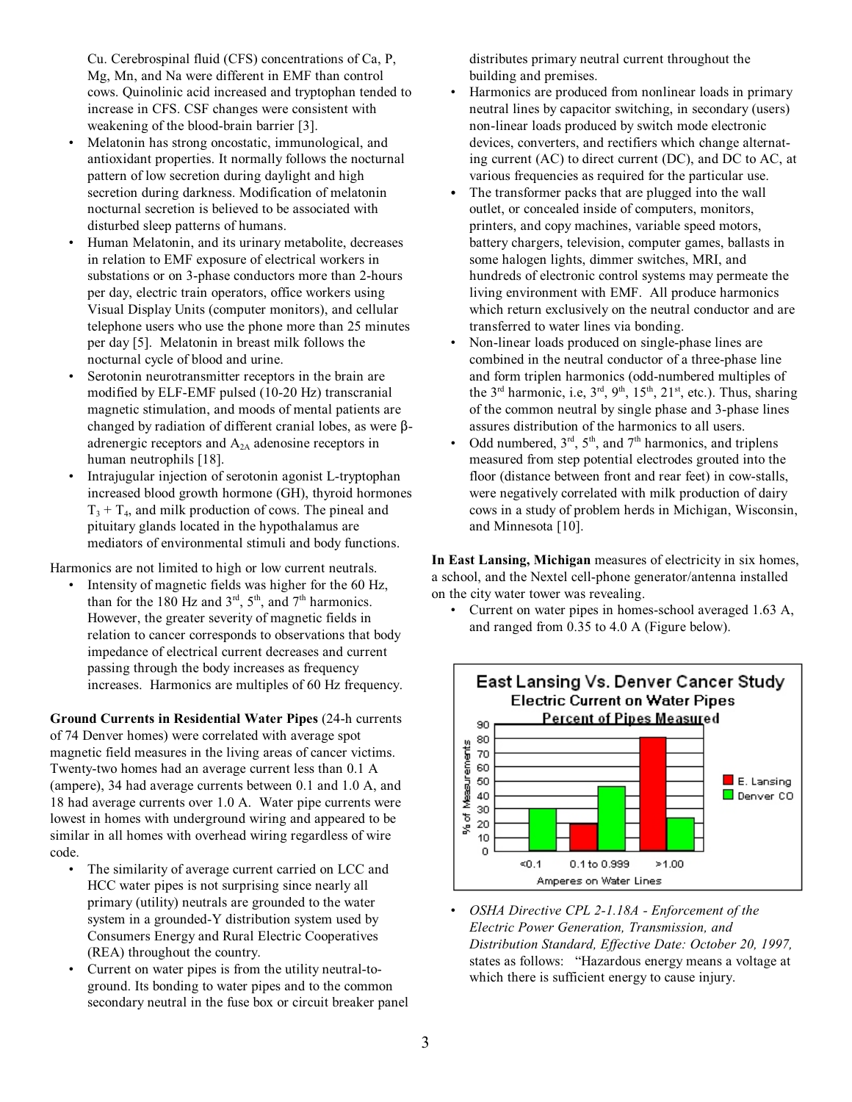Cu. Cerebrospinal fluid (CFS) concentrations of Ca, P, Mg, Mn, and Na were different in EMF than control cows. Quinolinic acid increased and tryptophan tended to increase in CFS. CSF changes were consistent with weakening of the blood-brain barrier [3].

- Melatonin has strong oncostatic, immunological, and antioxidant properties. It normally follows the nocturnal pattern of low secretion during daylight and high secretion during darkness. Modification of melatonin nocturnal secretion is believed to be associated with disturbed sleep patterns of humans.
- Human Melatonin, and its urinary metabolite, decreases in relation to EMF exposure of electrical workers in substations or on 3-phase conductors more than 2-hours per day, electric train operators, office workers using Visual Display Units (computer monitors), and cellular telephone users who use the phone more than 25 minutes per day [5]. Melatonin in breast milk follows the nocturnal cycle of blood and urine.
- Serotonin neurotransmitter receptors in the brain are modified by ELF-EMF pulsed (10-20 Hz) transcranial magnetic stimulation, and moods of mental patients are changed by radiation of different cranial lobes, as were  $\beta$ adrenergic receptors and A2A adenosine receptors in human neutrophils [18].
- Intrajugular injection of serotonin agonist L-tryptophan increased blood growth hormone (GH), thyroid hormones  $T_3 + T_4$ , and milk production of cows. The pineal and pituitary glands located in the hypothalamus are mediators of environmental stimuli and body functions.

Harmonics are not limited to high or low current neutrals.

Intensity of magnetic fields was higher for the 60 Hz, than for the 180 Hz and  $3<sup>rd</sup>$ ,  $5<sup>th</sup>$ , and  $7<sup>th</sup>$  harmonics. However, the greater severity of magnetic fields in relation to cancer corresponds to observations that body impedance of electrical current decreases and current passing through the body increases as frequency increases. Harmonics are multiples of 60 Hz frequency.

**Ground Currents in Residential Water Pipes** (24-h currents of 74 Denver homes) were correlated with average spot magnetic field measures in the living areas of cancer victims. Twenty-two homes had an average current less than 0.1 A (ampere), 34 had average currents between 0.1 and 1.0 A, and 18 had average currents over 1.0 A. Water pipe currents were lowest in homes with underground wiring and appeared to be similar in all homes with overhead wiring regardless of wire code.

- The similarity of average current carried on LCC and HCC water pipes is not surprising since nearly all primary (utility) neutrals are grounded to the water system in a grounded-Y distribution system used by Consumers Energy and Rural Electric Cooperatives (REA) throughout the country.
- Current on water pipes is from the utility neutral-toground. Its bonding to water pipes and to the common secondary neutral in the fuse box or circuit breaker panel

distributes primary neutral current throughout the building and premises.

- Harmonics are produced from nonlinear loads in primary neutral lines by capacitor switching, in secondary (users) non-linear loads produced by switch mode electronic devices, converters, and rectifiers which change alternating current (AC) to direct current (DC), and DC to AC, at various frequencies as required for the particular use.
- The transformer packs that are plugged into the wall outlet, or concealed inside of computers, monitors, printers, and copy machines, variable speed motors, battery chargers, television, computer games, ballasts in some halogen lights, dimmer switches, MRI, and hundreds of electronic control systems may permeate the living environment with EMF. All produce harmonics which return exclusively on the neutral conductor and are transferred to water lines via bonding.
- Non-linear loads produced on single-phase lines are combined in the neutral conductor of a three-phase line and form triplen harmonics (odd-numbered multiples of the  $3<sup>rd</sup>$  harmonic, i.e,  $3<sup>rd</sup>$ ,  $9<sup>th</sup>$ ,  $15<sup>th</sup>$ ,  $21<sup>st</sup>$ , etc.). Thus, sharing of the common neutral by single phase and 3-phase lines assures distribution of the harmonics to all users.
- Odd numbered,  $3<sup>rd</sup>$ ,  $5<sup>th</sup>$ , and  $7<sup>th</sup>$  harmonics, and triplens measured from step potential electrodes grouted into the floor (distance between front and rear feet) in cow-stalls, were negatively correlated with milk production of dairy cows in a study of problem herds in Michigan, Wisconsin, and Minnesota [10].

**In East Lansing, Michigan** measures of electricity in six homes, a school, and the Nextel cell-phone generator/antenna installed on the city water tower was revealing.

• Current on water pipes in homes-school averaged 1.63 A, and ranged from 0.35 to 4.0 A (Figure below).



• *OSHA Directive CPL 2-1.18A - Enforcement of the Electric Power Generation, Transmission, and Distribution Standard, Effective Date: October 20, 1997,* states as follows: "Hazardous energy means a voltage at which there is sufficient energy to cause injury.